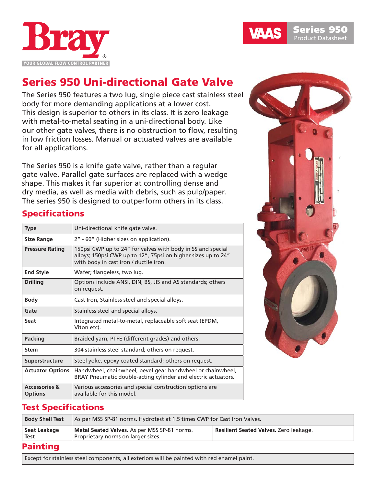

# Series 950 Uni-directional Gate Valve

The Series 950 features a two lug, single piece cast stainless steel body for more demanding applications at a lower cost. This design is superior to others in its class. It is zero leakage with metal-to-metal seating in a uni-directional body. Like our other gate valves, there is no obstruction to flow, resulting in low friction losses. Manual or actuated valves are available for all applications.

The Series 950 is a knife gate valve, rather than a regular gate valve. Parallel gate surfaces are replaced with a wedge shape. This makes it far superior at controlling dense and dry media, as well as media with debris, such as pulp/paper. The series 950 is designed to outperform others in its class.

# Specifications

| <b>Type</b>                                | Uni-directional knife gate valve.                                                                                                                                      |
|--------------------------------------------|------------------------------------------------------------------------------------------------------------------------------------------------------------------------|
| <b>Size Range</b>                          | 2" - 60" (Higher sizes on application).                                                                                                                                |
| <b>Pressure Rating</b>                     | 150psi CWP up to 24" for valves with body in SS and special<br>alloys; 150psi CWP up to 12", 75psi on higher sizes up to 24"<br>with body in cast iron / ductile iron. |
| <b>End Style</b>                           | Wafer; flangeless, two lug.                                                                                                                                            |
| <b>Drilling</b>                            | Options include ANSI, DIN, BS, JIS and AS standards; others<br>on request.                                                                                             |
| <b>Body</b>                                | Cast Iron, Stainless steel and special alloys.                                                                                                                         |
| Gate                                       | Stainless steel and special alloys.                                                                                                                                    |
| Seat                                       | Integrated metal-to-metal, replaceable soft seat (EPDM,<br>Viton etc).                                                                                                 |
| <b>Packing</b>                             | Braided yarn, PTFE (different grades) and others.                                                                                                                      |
| <b>Stem</b>                                | 304 stainless steel standard; others on request.                                                                                                                       |
| Superstructure                             | Steel yoke, epoxy coated standard; others on request.                                                                                                                  |
| <b>Actuator Options</b>                    | Handwheel, chainwheel, bevel gear handwheel or chainwheel,<br>BRAY Pneumatic double-acting cylinder and electric actuators.                                            |
| <b>Accessories &amp;</b><br><b>Options</b> | Various accessories and special construction options are<br>available for this model.                                                                                  |



## Test Specifications

| <b>Body Shell Test</b> | As per MSS SP-81 norms. Hydrotest at 1.5 times CWP for Cast Iron Valves.           |                                        |  |  |  |  |  |  |  |  |
|------------------------|------------------------------------------------------------------------------------|----------------------------------------|--|--|--|--|--|--|--|--|
| Seat Leakage<br>Test   | Metal Seated Valves. As per MSS SP-81 norms.<br>Proprietary norms on larger sizes. | Resilient Seated Valves. Zero leakage. |  |  |  |  |  |  |  |  |
| .                      |                                                                                    |                                        |  |  |  |  |  |  |  |  |

#### Painting

Except for stainless steel components, all exteriors will be painted with red enamel paint.